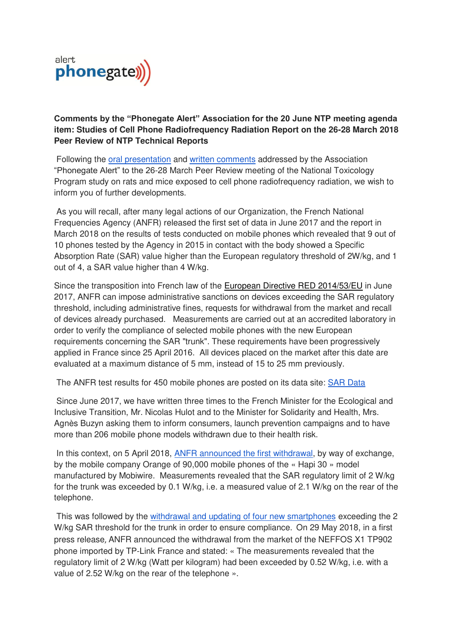

# **Comments by the "Phonegate Alert" Association for the 20 June NTP meeting agenda item: Studies of Cell Phone Radiofrequency Radiation Report on the 26-28 March 2018 Peer Review of NTP Technical Reports**

Following the [oral presentation](https://ehtrust.org/comments-by-dr-marc-arazi-association-alerte-phonegate-to-the-national-toxicology-program-march-27-2018-peer-review-cell-phone-radiation-study/) and [written comments](https://ntp.niehs.nih.gov/ntp/about_ntp/trpanel/2018/march/publiccomm/arazi20180312.pdf) addressed by the Association "Phonegate Alert" to the 26-28 March Peer Review meeting of the National Toxicology Program study on rats and mice exposed to cell phone radiofrequency radiation, we wish to inform you of further developments.

 As you will recall, after many legal actions of our Organization, the French National Frequencies Agency (ANFR) released the first set of data in June 2017 and the report in March 2018 on the results of tests conducted on mobile phones which revealed that 9 out of 10 phones tested by the Agency in 2015 in contact with the body showed a Specific Absorption Rate (SAR) value higher than the European regulatory threshold of 2W/kg, and 1 out of 4, a SAR value higher than 4 W/kg.

Since the transposition into French law of the [European Directive RED 2014/53/EU](https://eur-lex.europa.eu/legal-content/EN/TXT/?uri=celex:32014L0053) in June 2017, ANFR can impose administrative sanctions on devices exceeding the SAR regulatory threshold, including administrative fines, requests for withdrawal from the market and recall of devices already purchased. Measurements are carried out at an accredited laboratory in order to verify the compliance of selected mobile phones with the new European requirements concerning the SAR "trunk". These requirements have been progressively applied in France since 25 April 2016. All devices placed on the market after this date are evaluated at a maximum distance of 5 mm, instead of 15 to 25 mm previously.

The ANFR test results for 450 mobile phones are posted on its data site: [SAR Data](https://data.anfr.fr/explore/dataset/das-telephonie-mobile/?disjunctive.marque&disjunctive.modele)

 Since June 2017, we have written three times to the French Minister for the Ecological and Inclusive Transition, Mr. Nicolas Hulot and to the Minister for Solidarity and Health, Mrs. Agnès Buzyn asking them to inform consumers, launch prevention campaigns and to have more than 206 mobile phone models withdrawn due to their health risk.

 In this context, on 5 April 2018, [ANFR announced the first withdrawal,](https://www.phonegatealert.org/wp-content/uploads/2018/04/Phonegate-Alert-press-release-9-April-Rev-1.pdf) by way of exchange, by the mobile company Orange of 90,000 mobile phones of the « Hapi 30 » model manufactured by Mobiwire. Measurements revealed that the SAR regulatory limit of 2 W/kg for the trunk was exceeded by 0.1 W/kg, i.e. a measured value of 2.1 W/kg on the rear of the telephone.

 This was followed by the [withdrawal and updating of four new smartphones](https://www.phonegatealert.org/2018/05/30/first-reaction-new-withdrawal-and-updates-for-four-mobile-phones/) exceeding the 2 W/kg SAR threshold for the trunk in order to ensure compliance. On 29 May 2018, in a first press release, ANFR announced the withdrawal from the market of the NEFFOS X1 TP902 phone imported by TP-Link France and stated: « The measurements revealed that the regulatory limit of 2 W/kg (Watt per kilogram) had been exceeded by 0.52 W/kg, i.e. with a value of 2.52 W/kg on the rear of the telephone ».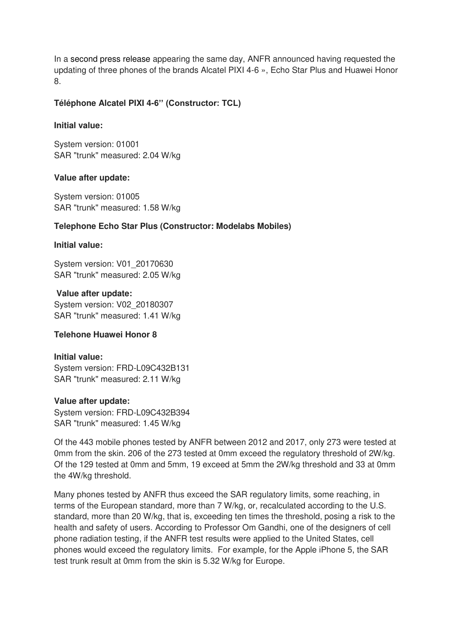In a second press release appearing the same day, ANFR announced having requested the updating of three phones of the brands Alcatel PIXI 4-6 », Echo Star Plus and Huawei Honor 8.

## **Téléphone Alcatel PIXI 4-6'' (Constructor: TCL)**

### **Initial value:**

System version: 01001 SAR "trunk" measured: 2.04 W/kg

## **Value after update:**

System version: 01005 SAR "trunk" measured: 1.58 W/kg

## **Telephone Echo Star Plus (Constructor: Modelabs Mobiles)**

### **Initial value:**

System version: V01\_20170630 SAR "trunk" measured: 2.05 W/kg

 **Value after update:**  System version: V02\_20180307 SAR "trunk" measured: 1.41 W/kg

# **Telehone Huawei Honor 8**

### **Initial value:**

System version: FRD-L09C432B131 SAR "trunk" measured: 2.11 W/kg

### **Value after update:**

System version: FRD-L09C432B394 SAR "trunk" measured: 1.45 W/kg

Of the 443 mobile phones tested by ANFR between 2012 and 2017, only 273 were tested at 0mm from the skin. 206 of the 273 tested at 0mm exceed the regulatory threshold of 2W/kg. Of the 129 tested at 0mm and 5mm, 19 exceed at 5mm the 2W/kg threshold and 33 at 0mm the 4W/kg threshold.

Many phones tested by ANFR thus exceed the SAR regulatory limits, some reaching, in terms of the European standard, more than 7 W/kg, or, recalculated according to the U.S. standard, more than 20 W/kg, that is, exceeding ten times the threshold, posing a risk to the health and safety of users. According to Professor Om Gandhi, one of the designers of cell phone radiation testing, if the ANFR test results were applied to the United States, cell phones would exceed the regulatory limits. For example, for the Apple iPhone 5, the SAR test trunk result at 0mm from the skin is 5.32 W/kg for Europe.